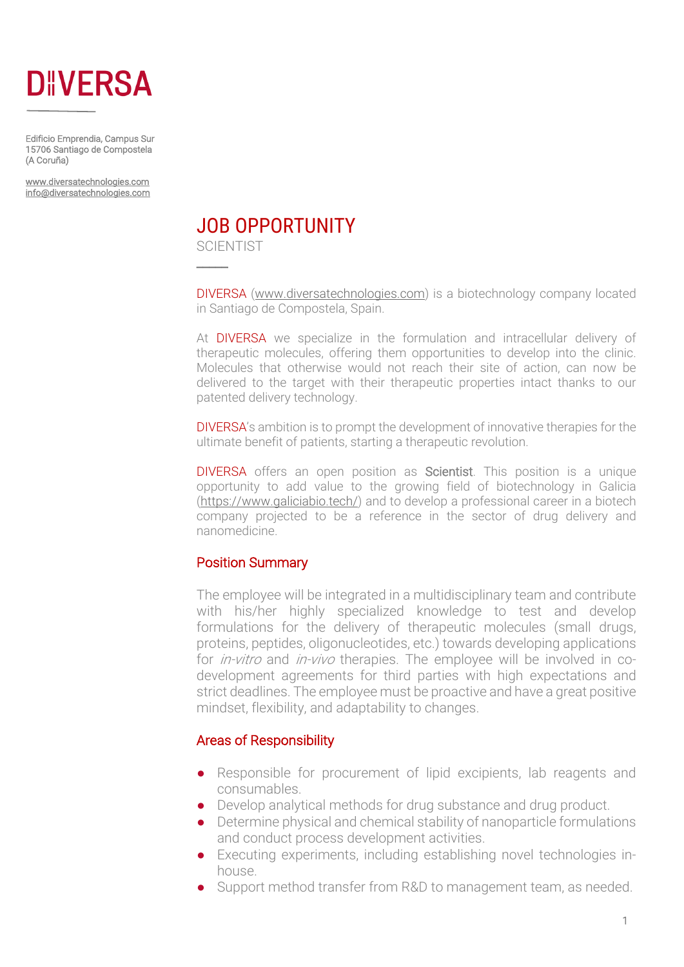

Edificio Emprendia, Campus Sur 15706 Santiago de Compostela (A Coruña)

www.diversatechnologies.com info@diversatechnologies.com

# JOB OPPORTUNITY

**SCIENTIST** 

 $\overline{\phantom{a}}$ 

DIVERSA (www.diversatechnologies.com) is a biotechnology company located in Santiago de Compostela, Spain.

At DIVERSA we specialize in the formulation and intracellular delivery of therapeutic molecules, offering them opportunities to develop into the clinic. Molecules that otherwise would not reach their site of action, can now be delivered to the target with their therapeutic properties intact thanks to our patented delivery technology.

DIVERSA's ambition is to prompt the development of innovative therapies for the ultimate benefit of patients, starting a therapeutic revolution.

DIVERSA offers an open position as Scientist. This position is a unique opportunity to add value to the growing field of biotechnology in Galicia (https://www.galiciabio.tech/) and to develop a professional career in a biotech company projected to be a reference in the sector of drug delivery and nanomedicine.

### Position Summary

The employee will be integrated in a multidisciplinary team and contribute with his/her highly specialized knowledge to test and develop formulations for the delivery of therapeutic molecules (small drugs, proteins, peptides, oligonucleotides, etc.) towards developing applications for *in-vitro* and *in-vivo* therapies. The employee will be involved in codevelopment agreements for third parties with high expectations and strict deadlines. The employee must be proactive and have a great positive mindset, flexibility, and adaptability to changes.

### Areas of Responsibility

- Responsible for procurement of lipid excipients, lab reagents and consumables.
- Develop analytical methods for drug substance and drug product.
- Determine physical and chemical stability of nanoparticle formulations and conduct process development activities.
- Executing experiments, including establishing novel technologies inhouse.
- Support method transfer from R&D to management team, as needed.